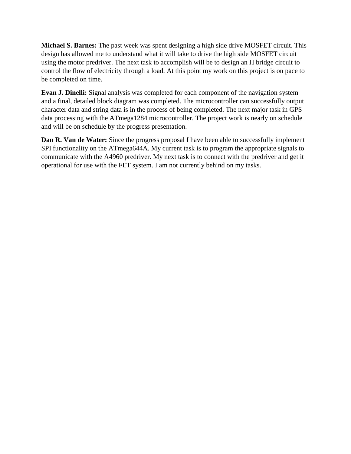**Michael S. Barnes:** The past week was spent designing a high side drive MOSFET circuit. This design has allowed me to understand what it will take to drive the high side MOSFET circuit using the motor predriver. The next task to accomplish will be to design an H bridge circuit to control the flow of electricity through a load. At this point my work on this project is on pace to be completed on time.

**Evan J. Dinelli:** Signal analysis was completed for each component of the navigation system and a final, detailed block diagram was completed. The microcontroller can successfully output character data and string data is in the process of being completed. The next major task in GPS data processing with the ATmega1284 microcontroller. The project work is nearly on schedule and will be on schedule by the progress presentation.

**Dan R. Van de Water:** Since the progress proposal I have been able to successfully implement SPI functionality on the ATmega644A. My current task is to program the appropriate signals to communicate with the A4960 predriver. My next task is to connect with the predriver and get it operational for use with the FET system. I am not currently behind on my tasks.